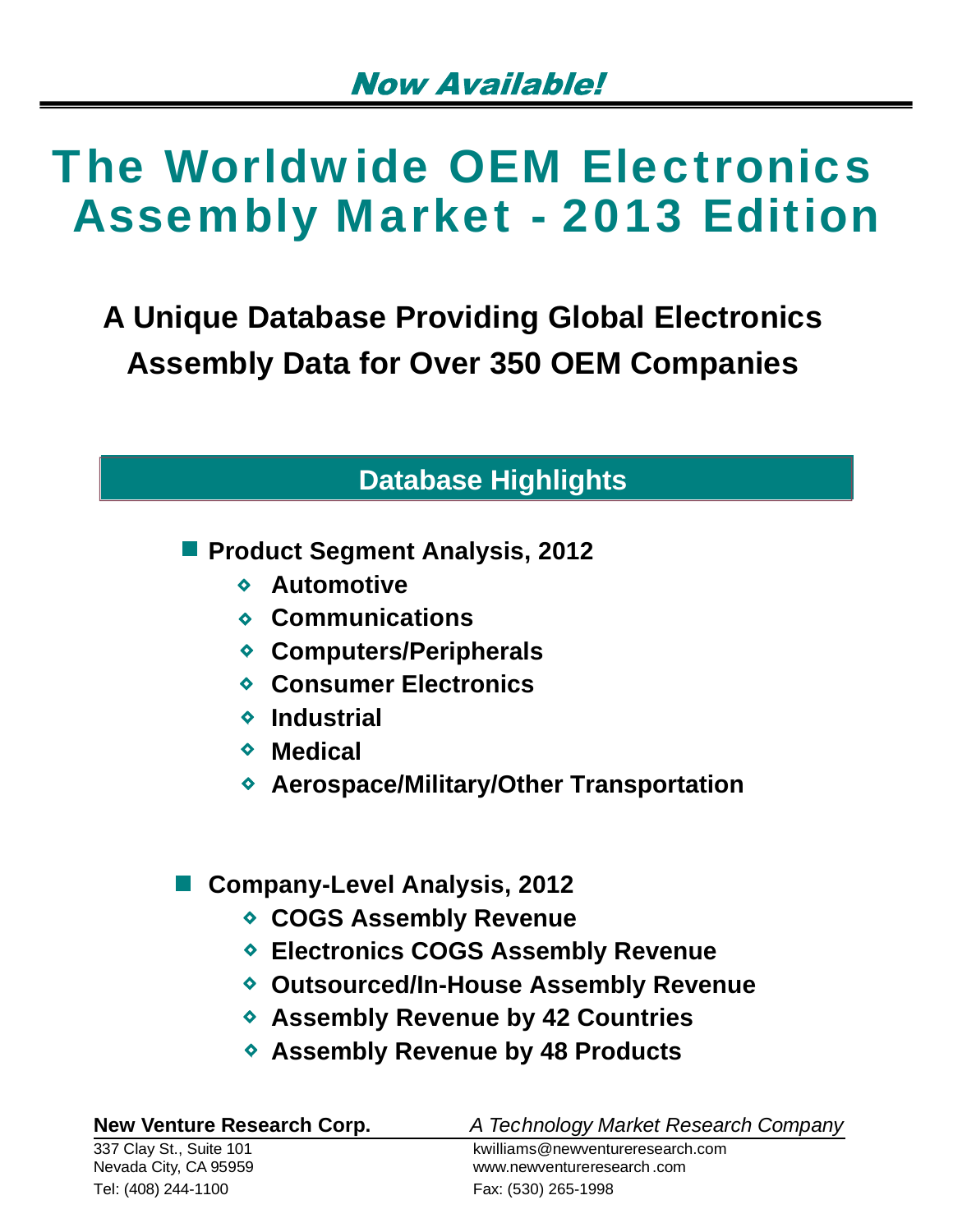**A Unique Database Providing Global Electronics Assembly Data for Over 350 OEM Companies**

# **Database Highlights**

**Product Segment Analysis, 2012** 

- **Automotive**
- **Communications**
- **Computers/Peripherals**
- **Consumer Electronics**
- **Industrial**
- **Medical**
- **Aerospace/Military/Other Transportation**

### **Company-Level Analysis, 2012**

- **COGS Assembly Revenue**
- **Electronics COGS Assembly Revenue**
- **Outsourced/In-House Assembly Revenue**
- **Assembly Revenue by 42 Countries**
- **Assembly Revenue by 48 Products**

| <b>New Venture Research Corp.</b> | A Technology Market Research Company |
|-----------------------------------|--------------------------------------|
| 337 Clay St., Suite 101           | kwilliams@newventureresearch.com     |
| Nevada City, CA 95959             | www.newventureresearch.com           |
| Tel: (408) 244-1100               | Fax: (530) 265-1998                  |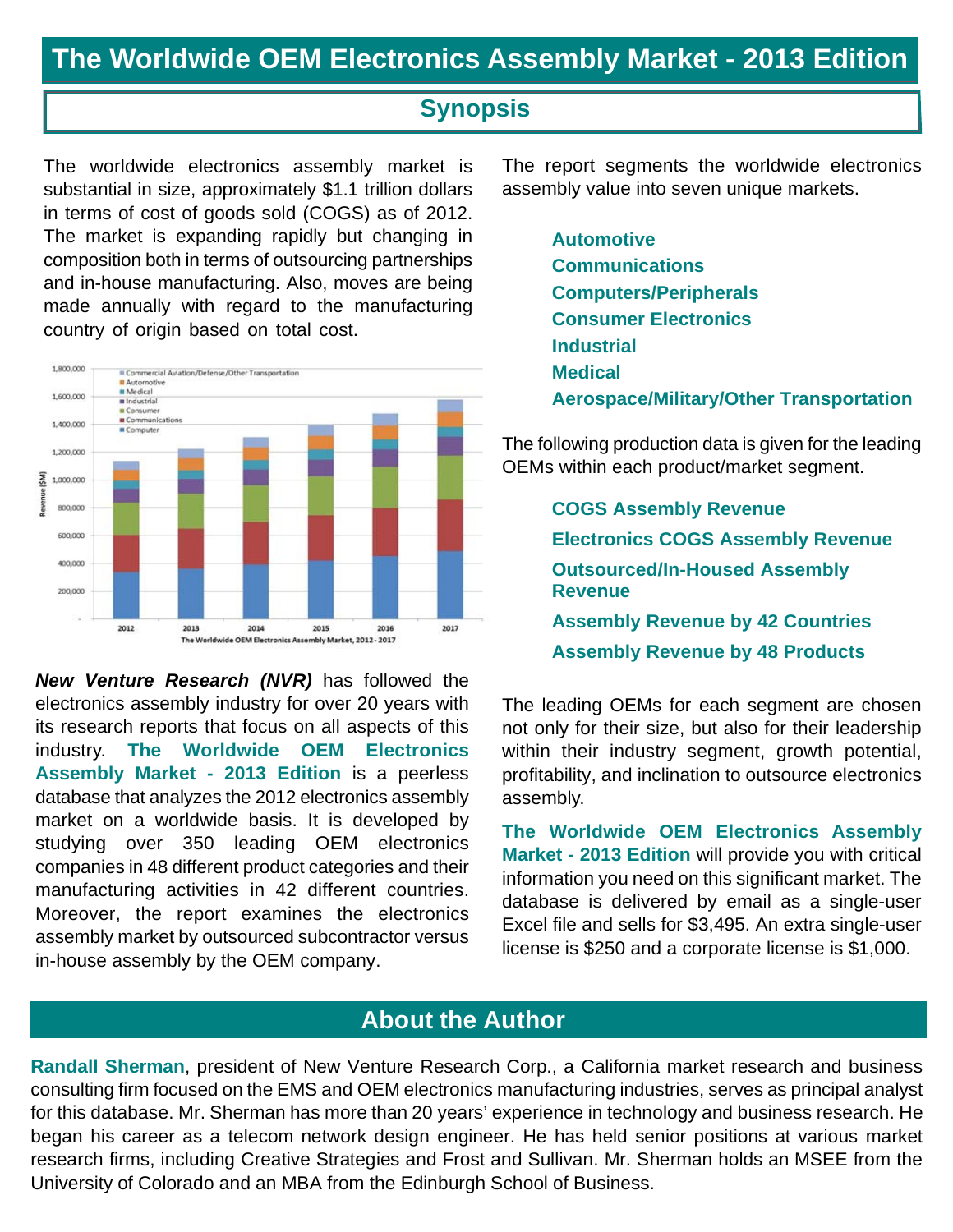### **Synopsis**

The worldwide electronics assembly market is substantial in size, approximately \$1.1 trillion dollars in terms of cost of goods sold (COGS) as of 2012. The market is expanding rapidly but changing in composition both in terms of outsourcing partnerships and in-house manufacturing. Also, moves are being made annually with regard to the manufacturing country of origin based on total cost.



*New Venture Research (NVR)* has followed the electronics assembly industry for over 20 years with its research reports that focus on all aspects of this industry. **The Worldwide OEM Electronics Assembly Market - 2013 Edition** is a peerless database that analyzes the 2012 electronics assembly market on a worldwide basis. It is developed by studying over 350 leading OEM electronics companies in 48 different product categories and their manufacturing activities in 42 different countries. Moreover, the report examines the electronics assembly market by outsourced subcontractor versus in-house assembly by the OEM company.

The report segments the worldwide electronics assembly value into seven unique markets.

**Automotive Communications Computers/Peripherals Consumer Electronics Industrial Medical Aerospace/Military/Other Transportation**

The following production data is given for the leading OEMs within each product/market segment.

> **COGS Assembly Revenue Electronics COGS Assembly Revenue Outsourced/In-Housed Assembly Revenue Assembly Revenue by 42 Countries Assembly Revenue by 48 Products**

The leading OEMs for each segment are chosen not only for their size, but also for their leadership within their industry segment, growth potential, profitability, and inclination to outsource electronics assembly.

**The Worldwide OEM Electronics Assembly Market - 2013 Edition** will provide you with critical information you need on this significant market. The database is delivered by email as a single-user Excel file and sells for \$3,495. An extra single-user license is \$250 and a corporate license is \$1,000.

### **About the Author**

**Randall Sherman**, president of New Venture Research Corp., a California market research and business consulting firm focused on the EMS and OEM electronics manufacturing industries, serves as principal analyst for this database. Mr. Sherman has more than 20 years' experience in technology and business research. He began his career as a telecom network design engineer. He has held senior positions at various market research firms, including Creative Strategies and Frost and Sullivan. Mr. Sherman holds an MSEE from the University of Colorado and an MBA from the Edinburgh School of Business.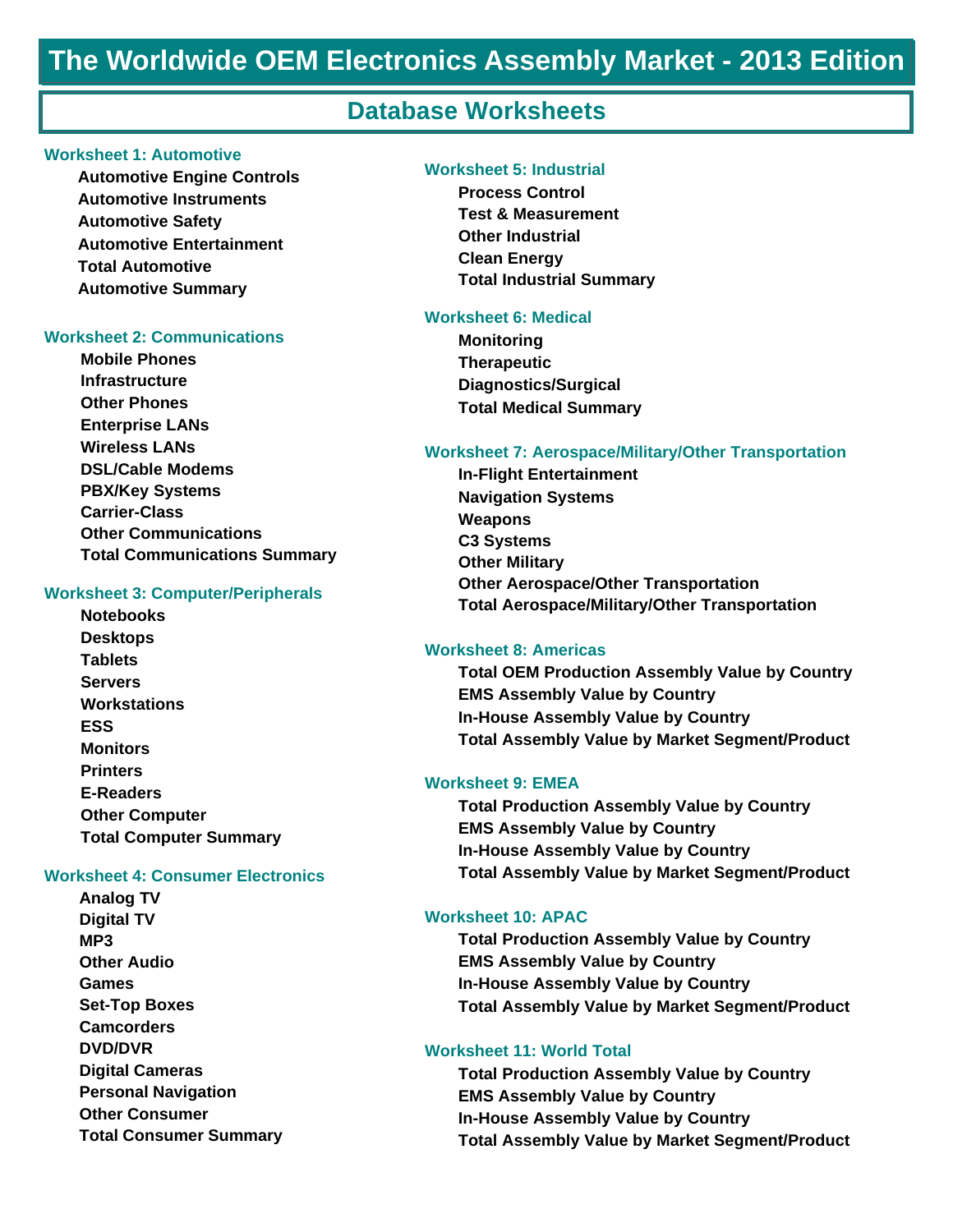### **Database Worksheets**

#### **Worksheet 1: Automotive**

**Automotive Engine Controls Automotive Instruments Automotive Safety Automotive Entertainment Total Automotive Automotive Summary**

#### **Worksheet 2: Communications**

**Mobile Phones Infrastructure Other Phones Enterprise LANs Wireless LANs DSL/Cable Modems PBX/Key Systems Carrier-Class Other Communications Total Communications Summary** 

#### **Worksheet 3: Computer/Peripherals**

**Notebooks Desktops Tablets Servers Workstations ESS Monitors Printers E-Readers Other Computer Total Computer Summary** 

#### **Worksheet 4: Consumer Electronics**

**Analog TV Digital TV MP3 Other Audio Games Set-Top Boxes Camcorders DVD/DVR Digital Cameras Personal Navigation Other Consumer Total Consumer Summary**

#### **Worksheet 5: Industrial**

**Process Control Test & Measurement Other Industrial Clean Energy Total Industrial Summary**

#### **Worksheet 6: Medical**

**Monitoring Therapeutic Diagnostics/Surgical Total Medical Summary** 

#### **Worksheet 7: Aerospace/Military/Other Transportation**

**In-Flight Entertainment Navigation Systems Weapons C3 Systems Other Military Other Aerospace/Other Transportation Total Aerospace/Military/Other Transportation** 

#### **Worksheet 8: Americas**

**Total OEM Production Assembly Value by Country EMS Assembly Value by Country In-House Assembly Value by Country Total Assembly Value by Market Segment/Product**

#### **Worksheet 9: EMEA**

**Total Production Assembly Value by Country EMS Assembly Value by Country In-House Assembly Value by Country Total Assembly Value by Market Segment/Product**

#### **Worksheet 10: APAC**

**Total Production Assembly Value by Country EMS Assembly Value by Country In-House Assembly Value by Country Total Assembly Value by Market Segment/Product**

#### **Worksheet 11: World Total**

**Total Production Assembly Value by Country EMS Assembly Value by Country In-House Assembly Value by Country Total Assembly Value by Market Segment/Product**